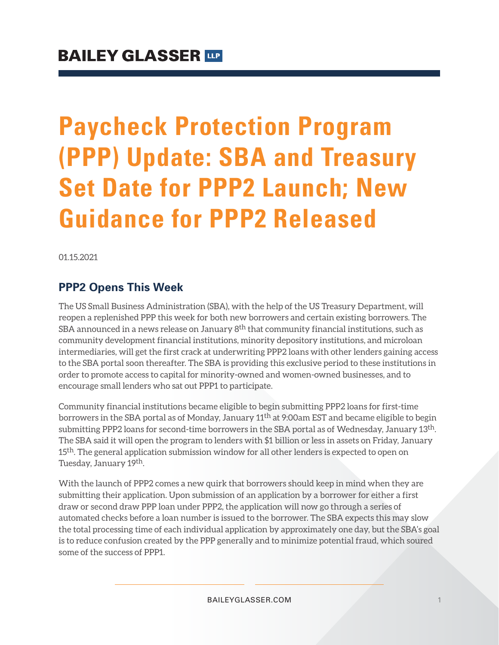# **Paycheck Protection Program (PPP) Update: SBA and Treasury Set Date for PPP2 Launch; New Guidance for PPP2 Released**

01.15.2021

### **PPP2 Opens This Week**

The US Small Business Administration (SBA), with the help of the US Treasury Department, will reopen a replenished PPP this week for both new borrowers and certain existing borrowers. The SBA announced in a news release on January  $8<sup>th</sup>$  that community financial institutions, such as community development financial institutions, minority depository institutions, and microloan intermediaries, will get the first crack at underwriting PPP2 loans with other lenders gaining access to the SBA portal soon thereafter. The SBA is providing this exclusive period to these institutions in order to promote access to capital for minority-owned and women-owned businesses, and to encourage small lenders who sat out PPP1 to participate.

Community financial institutions became eligible to begin submitting PPP2 loans for first-time borrowers in the SBA portal as of Monday, January 11th at 9:00am EST and became eligible to begin submitting PPP2 loans for second-time borrowers in the SBA portal as of Wednesday, January 13th. The SBA said it will open the program to lenders with \$1 billion or less in assets on Friday, January 15<sup>th</sup>. The general application submission window for all other lenders is expected to open on Tuesday, January 19th.

With the launch of PPP2 comes a new quirk that borrowers should keep in mind when they are submitting their application. Upon submission of an application by a borrower for either a first draw or second draw PPP loan under PPP2, the application will now go through a series of automated checks before a loan number is issued to the borrower. The SBA expects this may slow the total processing time of each individual application by approximately one day, but the SBA's goal is to reduce confusion created by the PPP generally and to minimize potential fraud, which soured some of the success of PPP1.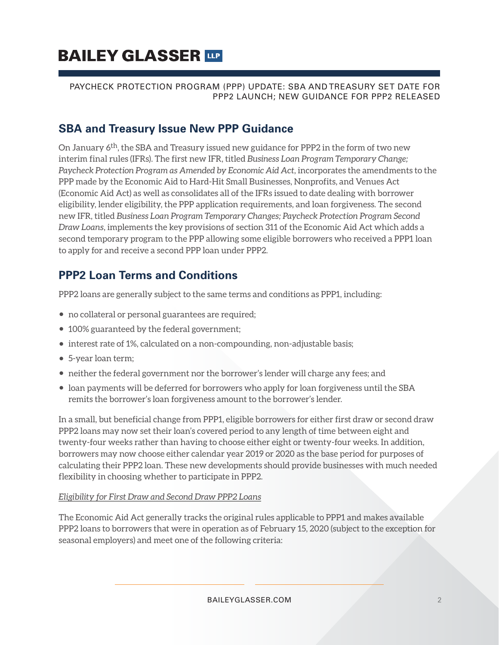#### PAYCHECK PROTECTION PROGRAM (PPP) UPDATE: SBA AND TREASURY SET DATE FOR PPP2 LAUNCH; NEW GUIDANCE FOR PPP2 RELEASED

### **SBA and Treasury Issue New PPP Guidance**

On January 6<sup>th</sup>, the SBA and Treasury issued new guidance for PPP2 in the form of two new interim final rules (IFRs). The first new IFR, titled *Business Loan Program Temporary Change; Paycheck Protection Program as Amended by Economic Aid Act*, incorporates the amendments to the PPP made by the Economic Aid to Hard-Hit Small Businesses, Nonprofits, and Venues Act (Economic Aid Act) as well as consolidates all of the IFRs issued to date dealing with borrower eligibility, lender eligibility, the PPP application requirements, and loan forgiveness. The second new IFR, titled *Business Loan Program Temporary Changes; Paycheck Protection Program Second Draw Loans*, implements the key provisions of section 311 of the Economic Aid Act which adds a second temporary program to the PPP allowing some eligible borrowers who received a PPP1 loan to apply for and receive a second PPP loan under PPP2.

# **PPP2 Loan Terms and Conditions**

PPP2 loans are generally subject to the same terms and conditions as PPP1, including:

- no collateral or personal guarantees are required;
- 100% guaranteed by the federal government;
- interest rate of 1%, calculated on a non-compounding, non-adjustable basis;
- 5-year loan term;
- neither the federal government nor the borrower's lender will charge any fees; and
- loan payments will be deferred for borrowers who apply for loan forgiveness until the SBA remits the borrower's loan forgiveness amount to the borrower's lender.

In a small, but beneficial change from PPP1, eligible borrowers for either first draw or second draw PPP2 loans may now set their loan's covered period to any length of time between eight and twenty-four weeks rather than having to choose either eight or twenty-four weeks. In addition, borrowers may now choose either calendar year 2019 or 2020 as the base period for purposes of calculating their PPP2 loan. These new developments should provide businesses with much needed flexibility in choosing whether to participate in PPP2.

#### *Eligibility for First Draw and Second Draw PPP2 Loans*

The Economic Aid Act generally tracks the original rules applicable to PPP1 and makes available PPP2 loans to borrowers that were in operation as of February 15, 2020 (subject to the exception for seasonal employers) and meet one of the following criteria: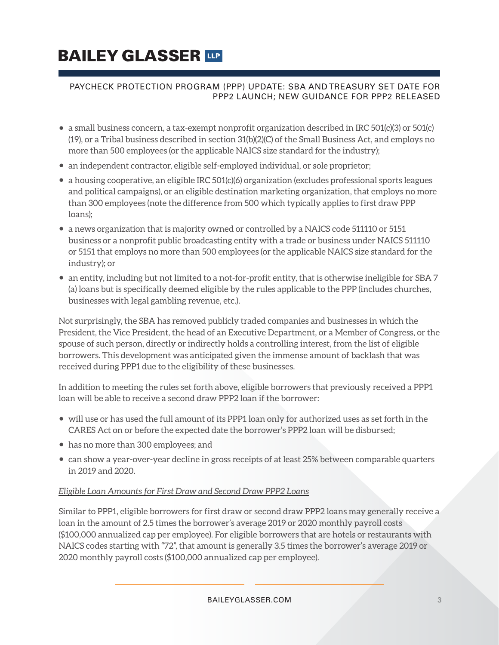#### PAYCHECK PROTECTION PROGRAM (PPP) UPDATE: SBA AND TREASURY SET DATE FOR PPP2 LAUNCH; NEW GUIDANCE FOR PPP2 RELEASED

- $\bullet$  a small business concern, a tax-exempt nonprofit organization described in IRC 501(c)(3) or 501(c) (19), or a Tribal business described in section 31(b)(2)(C) of the Small Business Act, and employs no more than 500 employees (or the applicable NAICS size standard for the industry);
- an independent contractor, eligible self-employed individual, or sole proprietor;
- a housing cooperative, an eligible IRC 501(c)(6) organization (excludes professional sports leagues and political campaigns), or an eligible destination marketing organization, that employs no more than 300 employees (note the difference from 500 which typically applies to first draw PPP loans);
- a news organization that is majority owned or controlled by a NAICS code 511110 or 5151 business or a nonprofit public broadcasting entity with a trade or business under NAICS 511110 or 5151 that employs no more than 500 employees (or the applicable NAICS size standard for the industry); or
- an entity, including but not limited to a not-for-profit entity, that is otherwise ineligible for SBA 7 (a) loans but is specifically deemed eligible by the rules applicable to the PPP (includes churches, businesses with legal gambling revenue, etc.).

Not surprisingly, the SBA has removed publicly traded companies and businesses in which the President, the Vice President, the head of an Executive Department, or a Member of Congress, or the spouse of such person, directly or indirectly holds a controlling interest, from the list of eligible borrowers. This development was anticipated given the immense amount of backlash that was received during PPP1 due to the eligibility of these businesses.

In addition to meeting the rules set forth above, eligible borrowers that previously received a PPP1 loan will be able to receive a second draw PPP2 loan if the borrower:

- will use or has used the full amount of its PPP1 loan only for authorized uses as set forth in the CARES Act on or before the expected date the borrower's PPP2 loan will be disbursed;
- has no more than 300 employees; and
- can show a year-over-year decline in gross receipts of at least 25% between comparable quarters in 2019 and 2020.

#### *Eligible Loan Amounts for First Draw and Second Draw PPP2 Loans*

Similar to PPP1, eligible borrowers for first draw or second draw PPP2 loans may generally receive a loan in the amount of 2.5 times the borrower's average 2019 or 2020 monthly payroll costs (\$100,000 annualized cap per employee). For eligible borrowers that are hotels or restaurants with NAICS codes starting with "72", that amount is generally 3.5 times the borrower's average 2019 or 2020 monthly payroll costs (\$100,000 annualized cap per employee).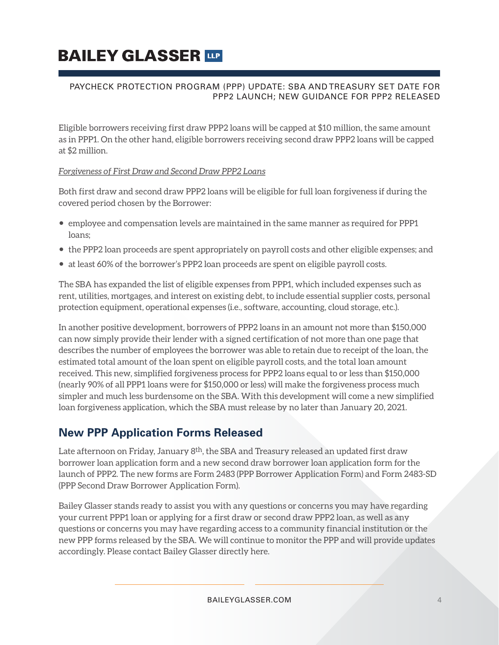#### PAYCHECK PROTECTION PROGRAM (PPP) UPDATE: SBA AND TREASURY SET DATE FOR PPP2 LAUNCH; NEW GUIDANCE FOR PPP2 RELEASED

Eligible borrowers receiving first draw PPP2 loans will be capped at \$10 million, the same amount as in PPP1. On the other hand, eligible borrowers receiving second draw PPP2 loans will be capped at \$2 million.

#### *Forgiveness of First Draw and Second Draw PPP2 Loans*

Both first draw and second draw PPP2 loans will be eligible for full loan forgiveness if during the covered period chosen by the Borrower:

- employee and compensation levels are maintained in the same manner as required for PPP1 loans;
- the PPP2 loan proceeds are spent appropriately on payroll costs and other eligible expenses; and
- at least 60% of the borrower's PPP2 loan proceeds are spent on eligible payroll costs.

The SBA has expanded the list of eligible expenses from PPP1, which included expenses such as rent, utilities, mortgages, and interest on existing debt, to include essential supplier costs, personal protection equipment, operational expenses (i.e., software, accounting, cloud storage, etc.).

In another positive development, borrowers of PPP2 loans in an amount not more than \$150,000 can now simply provide their lender with a signed certification of not more than one page that describes the number of employees the borrower was able to retain due to receipt of the loan, the estimated total amount of the loan spent on eligible payroll costs, and the total loan amount received. This new, simplified forgiveness process for PPP2 loans equal to or less than \$150,000 (nearly 90% of all PPP1 loans were for \$150,000 or less) will make the forgiveness process much simpler and much less burdensome on the SBA. With this development will come a new simplified loan forgiveness application, which the SBA must release by no later than January 20, 2021.

## **New PPP Application Forms Released**

Late afternoon on Friday, January  $8<sup>th</sup>$ , the SBA and Treasury released an updated first draw borrower loan application form and a new second draw borrower loan application form for the launch of PPP2. The new forms are Form 2483 (PPP Borrower Application Form) and Form 2483-SD (PPP Second Draw Borrower Application Form).

Bailey Glasser stands ready to assist you with any questions or concerns you may have regarding your current PPP1 loan or applying for a first draw or second draw PPP2 loan, as well as any questions or concerns you may have regarding access to a community financial institution or the new PPP forms released by the SBA. We will continue to monitor the PPP and will provide updates accordingly. Please contact Bailey Glasser directly here.